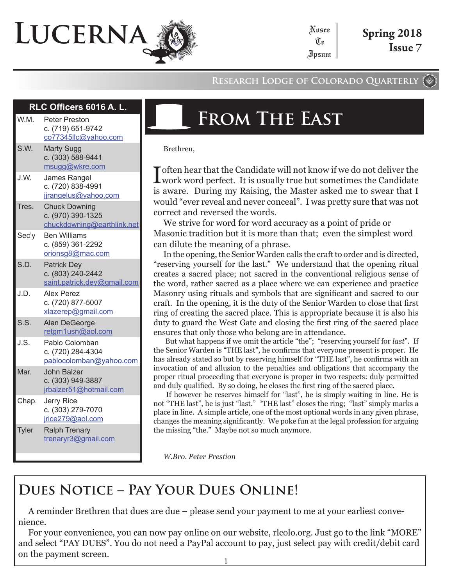# **Lucerna**

#### **Research Lodge of Colorado Quarterly**

Nosce Te Ipsum

#### **RLC Officers 6016 A**

| W.M.         | Peter Preston<br>c. (719) 651-9742<br>co77345llc@yahoo.com              |
|--------------|-------------------------------------------------------------------------|
| S.W.         | <b>Marty Sugg</b><br>c. (303) 588-9441<br>msugg@wkre.com                |
| J.W.         | James Rangel<br>c. (720) 838-4991<br>jjrangelus@yahoo.com               |
| Tres.        | <b>Chuck Downing</b><br>c. (970) 390-1325<br>chuckdowning@earthlink.net |
| Sec'y        | <b>Ben Williams</b><br>c. (859) 361-2292<br>orionsg8@mac.com            |
| S.D.         | <b>Patrick Dey</b><br>c. (803) 240-2442<br>saint.patrick.dey@gmail.com  |
| J.D.         | Alex Perez<br>c. (720) 877-5007<br>xlazerep@gmail.com                   |
| S.S.         | Alan DeGeorge<br>retgm1usn@aol.com                                      |
| J.S.         | Pablo Colomban<br>c. (720) 284-4304<br>pablocolomban@yahoo.com          |
| Mar.         | <b>John Balzer</b><br>c. (303) 949-3887<br>jrbalzer51@hotmail.com       |
| Chap.        | <b>Jerry Rice</b><br>c. (303) 279-7070<br>jrice279@aol.com              |
| <b>Tyler</b> | <b>Ralph Trenary</b><br>trenaryr3@gmail.com                             |

## **From The East**

Brethren,

I often hear that the Candidate will not know if we do not deliver the work word perfect. It is usually true but sometimes the Candidate is aware. During my Raising, the Master asked me to swear that I would "ever reveal and never conceal". I was pretty sure that was not correct and reversed the words.

We strive for word for word accuracy as a point of pride or Masonic tradition but it is more than that; even the simplest word can dilute the meaning of a phrase.

In the opening, the Senior Warden calls the craft to order and is directed, "reserving yourself for the last." We understand that the opening ritual creates a sacred place; not sacred in the conventional religious sense of the word, rather sacred as a place where we can experience and practice Masonry using rituals and symbols that are significant and sacred to our craft. In the opening, it is the duty of the Senior Warden to close that first ring of creating the sacred place. This is appropriate because it is also his duty to guard the West Gate and closing the first ring of the sacred place ensures that only those who belong are in attendance.

 But what happens if we omit the article "the"; "reserving yourself for *last*". If the Senior Warden is "THE last", he confirms that everyone present is proper. He has already stated so but by reserving himself for "THE last", he confirms with an invocation of and allusion to the penalties and obligations that accompany the proper ritual proceeding that everyone is proper in two respects: duly permitted and duly qualified. By so doing, he closes the first ring of the sacred place.

 If however he reserves himself for "last", he is simply waiting in line. He is not "THE last", he is just "last." "THE last" closes the ring; "last" simply marks a place in line. A simple article, one of the most optional words in any given phrase, changes the meaning significantly. We poke fun at the legal profession for arguing the missing "the." Maybe not so much anymore.

*W.Bro. Peter Prestion*

### **Dues Notice – Pay Your Dues Online!**

A reminder Brethren that dues are due – please send your payment to me at your earliest convenience.

For your convenience, you can now pay online on our website, rlcolo.org. Just go to the link "MORE" and select "PAY DUES". You do not need a PayPal account to pay, just select pay with credit/debit card on the payment screen.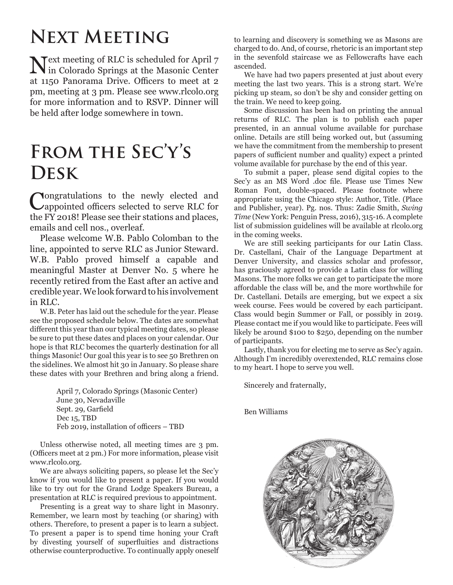### **Next Meeting**

Next meeting of RLC is scheduled for April 7 in Colorado Springs at the Masonic Center at 1150 Panorama Drive. Officers to meet at 2 pm, meeting at 3 pm. Please see www.rlcolo.org for more information and to RSVP. Dinner will be held after lodge somewhere in town.

### **From the Sec'y's Desk**

Congratulations to the newly elected and appointed officers selected to serve RLC for the FY 2018! Please see their stations and places, emails and cell nos., overleaf.

Please welcome W.B. Pablo Colomban to the line, appointed to serve RLC as Junior Steward. W.B. Pablo proved himself a capable and meaningful Master at Denver No. 5 where he recently retired from the East after an active and credible year. We look forward to his involvement in RLC.

W.B. Peter has laid out the schedule for the year. Please see the proposed schedule below. The dates are somewhat different this year than our typical meeting dates, so please be sure to put these dates and places on your calendar. Our hope is that RLC becomes the quarterly destination for all things Masonic! Our goal this year is to see 50 Brethren on the sidelines. We almost hit 30 in January. So please share these dates with your Brethren and bring along a friend.

> April 7, Colorado Springs (Masonic Center) June 30, Nevadaville Sept. 29, Garfield Dec 15, TBD Feb 2019, installation of officers – TBD

Unless otherwise noted, all meeting times are 3 pm. (Officers meet at 2 pm.) For more information, please visit www.rlcolo.org.

We are always soliciting papers, so please let the Sec'y know if you would like to present a paper. If you would like to try out for the Grand Lodge Speakers Bureau, a presentation at RLC is required previous to appointment.

Presenting is a great way to share light in Masonry. Remember, we learn most by teaching (or sharing) with others. Therefore, to present a paper is to learn a subject. To present a paper is to spend time honing your Craft by divesting yourself of superfluities and distractions otherwise counterproductive. To continually apply oneself to learning and discovery is something we as Masons are charged to do. And, of course, rhetoric is an important step in the sevenfold staircase we as Fellowcrafts have each ascended.

We have had two papers presented at just about every meeting the last two years. This is a strong start. We're picking up steam, so don't be shy and consider getting on the train. We need to keep going.

Some discussion has been had on printing the annual returns of RLC. The plan is to publish each paper presented, in an annual volume available for purchase online. Details are still being worked out, but (assuming we have the commitment from the membership to present papers of sufficient number and quality) expect a printed volume available for purchase by the end of this year.

To submit a paper, please send digital copies to the Sec'y as an MS Word .doc file. Please use Times New Roman Font, double-spaced. Please footnote where appropriate using the Chicago style: Author, Title. (Place and Publisher, year). Pg. nos. Thus: Zadie Smith, *Swing Time* (New York: Penguin Press, 2016), 315-16. A complete list of submission guidelines will be available at rlcolo.org in the coming weeks.

We are still seeking participants for our Latin Class. Dr. Castellani, Chair of the Language Department at Denver University, and classics scholar and professor, has graciously agreed to provide a Latin class for willing Masons. The more folks we can get to participate the more affordable the class will be, and the more worthwhile for Dr. Castellani. Details are emerging, but we expect a six week course. Fees would be covered by each participant. Class would begin Summer or Fall, or possibly in 2019. Please contact me if you would like to participate. Fees will likely be around \$100 to \$250, depending on the number of participants.

Lastly, thank you for electing me to serve as Sec'y again. Although I'm incredibly overextended, RLC remains close to my heart. I hope to serve you well.

Sincerely and fraternally,

Ben Williams

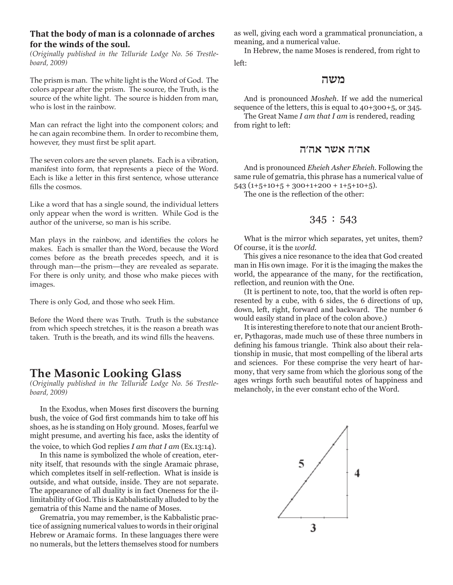#### **That the body of man is a colonnade of arches for the winds of the soul.**

*(Originally published in the Telluride Lodge No. 56 Trestleboard, 2009)*

The prism is man. The white light is the Word of God. The colors appear after the prism. The source, the Truth, is the source of the white light. The source is hidden from man, who is lost in the rainbow.

Man can refract the light into the component colors; and he can again recombine them. In order to recombine them, however, they must first be split apart.

The seven colors are the seven planets. Each is a vibration, manifest into form, that represents a piece of the Word. Each is like a letter in this first sentence, whose utterance fills the cosmos.

Like a word that has a single sound, the individual letters only appear when the word is written. While God is the author of the universe, so man is his scribe.

Man plays in the rainbow, and identifies the colors he makes. Each is smaller than the Word, because the Word comes before as the breath precedes speech, and it is through man—the prism—they are revealed as separate. For there is only unity, and those who make pieces with images.

There is only God, and those who seek Him.

Before the Word there was Truth. Truth is the substance from which speech stretches, it is the reason a breath was taken. Truth is the breath, and its wind fills the heavens.

#### **The Masonic Looking Glass**

*(Originally published in the Telluride Lodge No. 56 Trestleboard, 2009)*

In the Exodus, when Moses first discovers the burning bush, the voice of God first commands him to take off his shoes, as he is standing on Holy ground. Moses, fearful we might presume, and averting his face, asks the identity of the voice, to which God replies *I am that I am* (Ex.13:14).

In this name is symbolized the whole of creation, eternity itself, that resounds with the single Aramaic phrase, which completes itself in self-reflection. What is inside is outside, and what outside, inside. They are not separate. The appearance of all duality is in fact Oneness for the illimitability of God. This is Kabbalistically alluded to by the gematria of this Name and the name of Moses.

Grematria, you may remember, is the Kabbalistic practice of assigning numerical values to words in their original Hebrew or Aramaic forms. In these languages there were no numerals, but the letters themselves stood for numbers as well, giving each word a grammatical pronunciation, a meaning, and a numerical value.

In Hebrew, the name Moses is rendered, from right to left:

#### **משה**

And is pronounced *Mosheh*. If we add the numerical sequence of the letters, this is equal to 40+300+5, or 345.

The Great Name *I am that I am* is rendered, reading from right to left:

#### **אה׳ה אשר אה׳ה**

And is pronounced *Eheieh Asher Eheieh*. Following the same rule of gematria, this phrase has a numerical value of  $543(1+5+10+5+300+1+200+1+5+10+5)$ .

The one is the reflection of the other:

#### 345 : 543

What is the mirror which separates, yet unites, them? Of course, it is the *world*.

This gives a nice resonance to the idea that God created man in His own image. For it is the imaging the makes the world, the appearance of the many, for the rectification, reflection, and reunion with the One.

(It is pertinent to note, too, that the world is often represented by a cube, with 6 sides, the 6 directions of up, down, left, right, forward and backward. The number 6 would easily stand in place of the colon above.)

It is interesting therefore to note that our ancient Brother, Pythagoras, made much use of these three numbers in defining his famous triangle. Think also about their relationship in music, that most compelling of the liberal arts and sciences. For these comprise the very heart of harmony, that very same from which the glorious song of the ages wrings forth such beautiful notes of happiness and melancholy, in the ever constant echo of the Word.